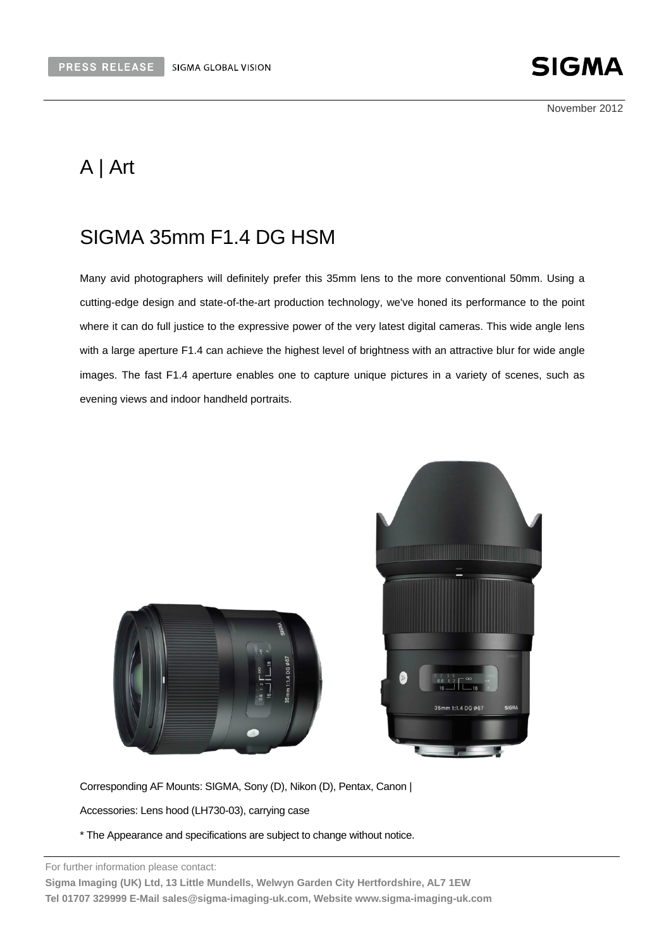

November 2012

# A | Art

# SIGMA 35mm F1.4 DG HSM

Many avid photographers will definitely prefer this 35mm lens to the more conventional 50mm. Using a cutting-edge design and state-of-the-art production technology, we've honed its performance to the point where it can do full justice to the expressive power of the very latest digital cameras. This wide angle lens with a large aperture F1.4 can achieve the highest level of brightness with an attractive blur for wide angle images. The fast F1.4 aperture enables one to capture unique pictures in a variety of scenes, such as evening views and indoor handheld portraits.





Corresponding AF Mounts: SIGMA, Sony (D), Nikon (D), Pentax, Canon |

Accessories: Lens hood (LH730-03), carrying case

\* The Appearance and specifications are subject to change without notice.

For further information please contact:

**Sigma Imaging (UK) Ltd, 13 Little Mundells, Welwyn Garden City Hertfordshire, AL7 1EW Tel 01707 329999 E-Mail sales@sigma-imaging-uk.com, Website www.sigma-imaging-uk.com**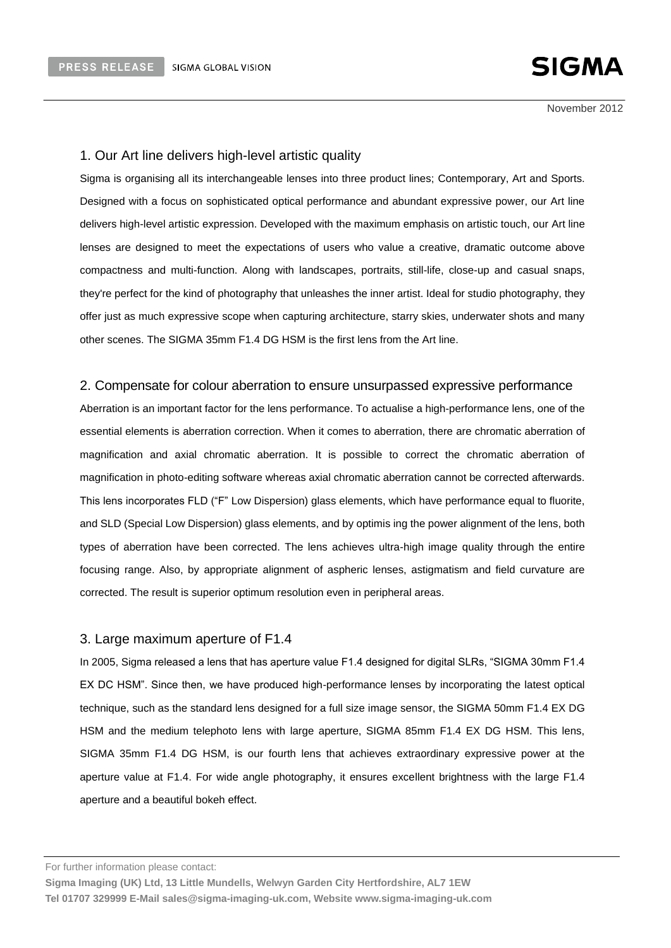November 2012

#### 1. Our Art line delivers high-level artistic quality

Sigma is organising all its interchangeable lenses into three product lines; Contemporary, Art and Sports. Designed with a focus on sophisticated optical performance and abundant expressive power, our Art line delivers high-level artistic expression. Developed with the maximum emphasis on artistic touch, our Art line lenses are designed to meet the expectations of users who value a creative, dramatic outcome above compactness and multi-function. Along with landscapes, portraits, still-life, close-up and casual snaps, they're perfect for the kind of photography that unleashes the inner artist. Ideal for studio photography, they offer just as much expressive scope when capturing architecture, starry skies, underwater shots and many other scenes. The SIGMA 35mm F1.4 DG HSM is the first lens from the Art line.

#### 2. Compensate for colour aberration to ensure unsurpassed expressive performance

Aberration is an important factor for the lens performance. To actualise a high-performance lens, one of the essential elements is aberration correction. When it comes to aberration, there are chromatic aberration of magnification and axial chromatic aberration. It is possible to correct the chromatic aberration of magnification in photo-editing software whereas axial chromatic aberration cannot be corrected afterwards. This lens incorporates FLD ("F" Low Dispersion) glass elements, which have performance equal to fluorite, and SLD (Special Low Dispersion) glass elements, and by optimis ing the power alignment of the lens, both types of aberration have been corrected. The lens achieves ultra-high image quality through the entire focusing range. Also, by appropriate alignment of aspheric lenses, astigmatism and field curvature are corrected. The result is superior optimum resolution even in peripheral areas.

#### 3. Large maximum aperture of F1.4

In 2005, Sigma released a lens that has aperture value F1.4 designed for digital SLRs, "SIGMA 30mm F1.4 EX DC HSM". Since then, we have produced high-performance lenses by incorporating the latest optical technique, such as the standard lens designed for a full size image sensor, the SIGMA 50mm F1.4 EX DG HSM and the medium telephoto lens with large aperture, SIGMA 85mm F1.4 EX DG HSM. This lens, SIGMA 35mm F1.4 DG HSM, is our fourth lens that achieves extraordinary expressive power at the aperture value at F1.4. For wide angle photography, it ensures excellent brightness with the large F1.4 aperture and a beautiful bokeh effect.

**Sigma Imaging (UK) Ltd, 13 Little Mundells, Welwyn Garden City Hertfordshire, AL7 1EW Tel 01707 329999 E-Mail sales@sigma-imaging-uk.com, Website www.sigma-imaging-uk.com**

For further information please contact: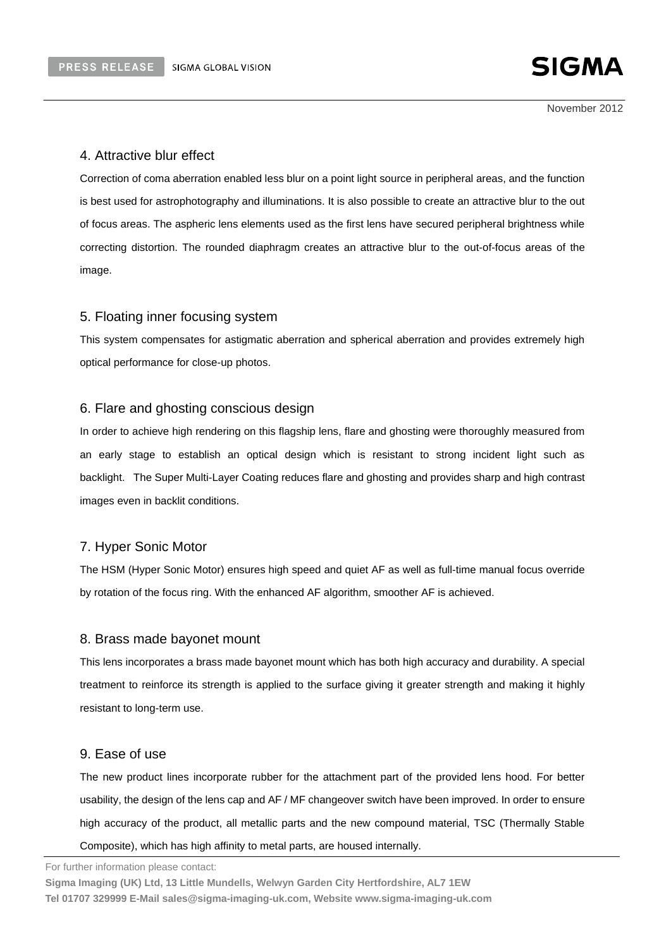November 2012

### 4. Attractive blur effect

Correction of coma aberration enabled less blur on a point light source in peripheral areas, and the function is best used for astrophotography and illuminations. It is also possible to create an attractive blur to the out of focus areas. The aspheric lens elements used as the first lens have secured peripheral brightness while correcting distortion. The rounded diaphragm creates an attractive blur to the out-of-focus areas of the image.

#### 5. Floating inner focusing system

This system compensates for astigmatic aberration and spherical aberration and provides extremely high optical performance for close-up photos.

#### 6. Flare and ghosting conscious design

In order to achieve high rendering on this flagship lens, flare and ghosting were thoroughly measured from an early stage to establish an optical design which is resistant to strong incident light such as backlight. The Super Multi-Layer Coating reduces flare and ghosting and provides sharp and high contrast images even in backlit conditions.

#### 7. Hyper Sonic Motor

The HSM (Hyper Sonic Motor) ensures high speed and quiet AF as well as full-time manual focus override by rotation of the focus ring. With the enhanced AF algorithm, smoother AF is achieved.

#### 8. Brass made bayonet mount

This lens incorporates a brass made bayonet mount which has both high accuracy and durability. A special treatment to reinforce its strength is applied to the surface giving it greater strength and making it highly resistant to long-term use.

#### 9. Ease of use

The new product lines incorporate rubber for the attachment part of the provided lens hood. For better usability, the design of the lens cap and AF / MF changeover switch have been improved. In order to ensure high accuracy of the product, all metallic parts and the new compound material, TSC (Thermally Stable Composite), which has high affinity to metal parts, are housed internally.

For further information please contact:

**Sigma Imaging (UK) Ltd, 13 Little Mundells, Welwyn Garden City Hertfordshire, AL7 1EW Tel 01707 329999 E-Mail sales@sigma-imaging-uk.com, Website www.sigma-imaging-uk.com**